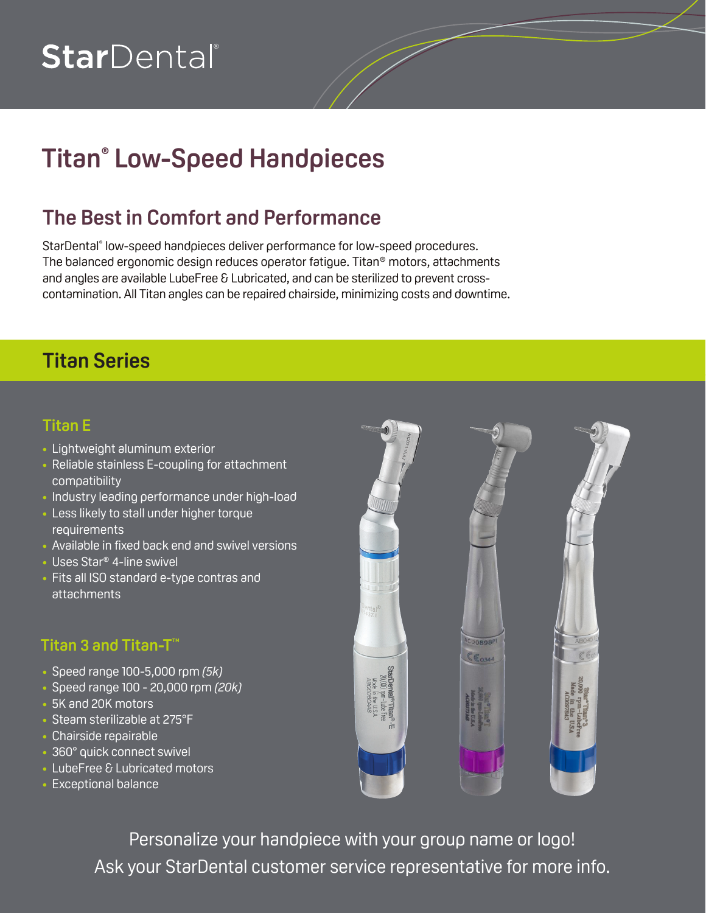# StarDental®

## **Titan® Low-Speed Handpieces**

## **The Best in Comfort and Performance**

StarDental® low-speed handpieces deliver performance for low-speed procedures. The balanced ergonomic design reduces operator fatigue. Titan® motors, attachments and angles are available LubeFree & Lubricated, and can be sterilized to prevent crosscontamination. All Titan angles can be repaired chairside, minimizing costs and downtime.

### **Titan Series**

#### **Titan E**

- Lightweight aluminum exterior
- Reliable stainless E-coupling for attachment compatibility
- Industry leading performance under high-load
- Less likely to stall under higher torque **requirements**
- Available in fixed back end and swivel versions
- Uses Star<sup>®</sup> 4-line swivel
- Fits all ISO standard e-type contras and attachments

#### **Titan 3 and Titan-T™**

- • Speed range 100-5,000 rpm *(5k)*
- • Speed range 100 20,000 rpm *(20k)*
- 5K and 20K motors
- Steam sterilizable at 275°F
- • Chairside repairable
- 360° quick connect swivel
- LubeFree & Lubricated motors
- Exceptional balance



Personalize your handpiece with your group name or logo! Ask your StarDental customer service representative for more info.